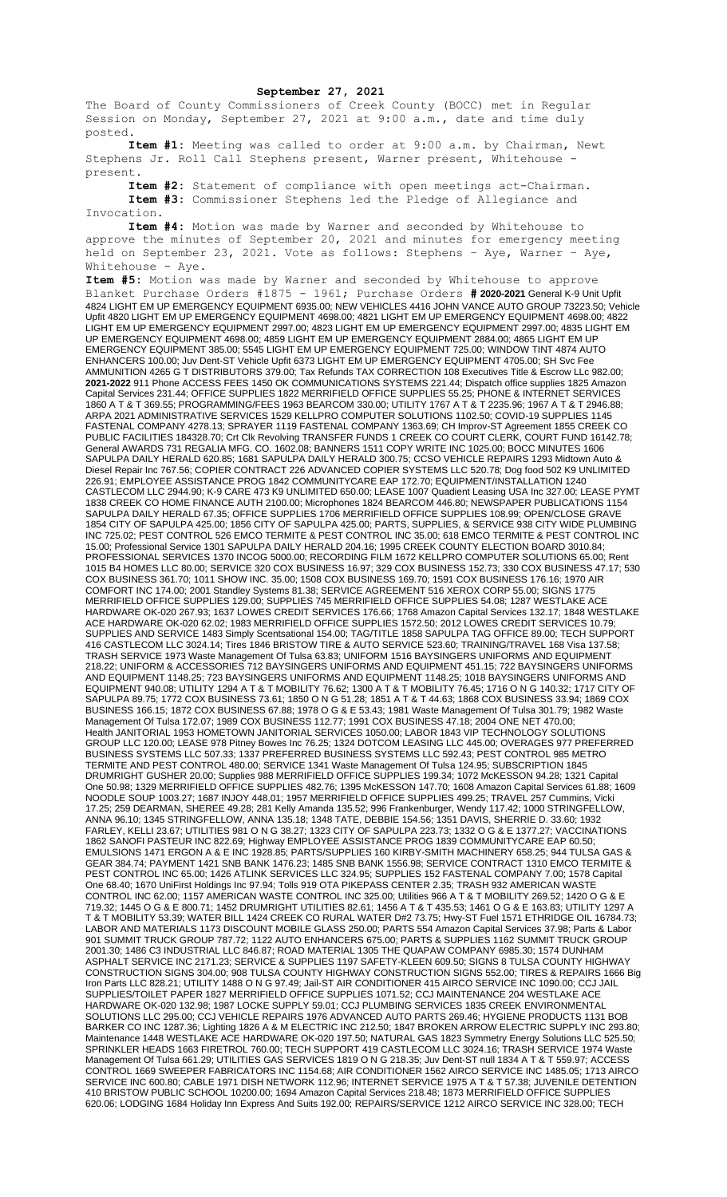## **September 27, 2021**

The Board of County Commissioners of Creek County (BOCC) met in Regular Session on Monday, September 27, 2021 at 9:00 a.m., date and time duly posted.

**Item #1:** Meeting was called to order at 9:00 a.m. by Chairman, Newt Stephens Jr. Roll Call Stephens present, Warner present, Whitehouse present.

**Item #2:** Statement of compliance with open meetings act-Chairman. **Item #3:** Commissioner Stephens led the Pledge of Allegiance and Invocation.

**Item #4:** Motion was made by Warner and seconded by Whitehouse to approve the minutes of September 20, 2021 and minutes for emergency meeting held on September 23, 2021. Vote as follows: Stephens – Aye, Warner – Aye, Whitehouse - Aye.

**Item #5:** Motion was made by Warner and seconded by Whitehouse to approve Blanket Purchase Orders #1875 - 1961; Purchase Orders **# 2020-2021** General K-9 Unit Upfit 4824 LIGHT EM UP EMERGENCY EQUIPMENT 6935.00; NEW VEHICLES 4416 JOHN VANCE AUTO GROUP 73223.50; Vehicle Upfit 4820 LIGHT EM UP EMERGENCY EQUIPMENT 4698.00; 4821 LIGHT EM UP EMERGENCY EQUIPMENT 4698.00; 4822 LIGHT EM UP EMERGENCY EQUIPMENT 2997.00; 4823 LIGHT EM UP EMERGENCY EQUIPMENT 2997.00; 4835 LIGHT EM UP EMERGENCY EQUIPMENT 4698.00; 4859 LIGHT EM UP EMERGENCY EQUIPMENT 2884.00; 4865 LIGHT EM UP EMERGENCY EQUIPMENT 385.00; 5545 LIGHT EM UP EMERGENCY EQUIPMENT 725.00; WINDOW TINT 4874 AUTO ENHANCERS 100.00; Juv Dent-ST Vehicle Upfit 6373 LIGHT EM UP EMERGENCY EQUIPMENT 4705.00; SH Svc Fee AMMUNITION 4265 G T DISTRIBUTORS 379.00; Tax Refunds TAX CORRECTION 108 Executives Title & Escrow LLc 982.00; **2021-2022** 911 Phone ACCESS FEES 1450 OK COMMUNICATIONS SYSTEMS 221.44; Dispatch office supplies 1825 Amazon Capital Services 231.44; OFFICE SUPPLIES 1822 MERRIFIELD OFFICE SUPPLIES 55.25; PHONE & INTERNET SERVICES 1860 A T & T 369.55; PROGRAMMING/FEES 1963 BEARCOM 330.00; UTILITY 1767 A T & T 2235.96; 1967 A T & T 2946.88; ARPA 2021 ADMINISTRATIVE SERVICES 1529 KELLPRO COMPUTER SOLUTIONS 1102.50; COVID-19 SUPPLIES 1145 FASTENAL COMPANY 4278.13; SPRAYER 1119 FASTENAL COMPANY 1363.69; CH Improv-ST Agreement 1855 CREEK CO PUBLIC FACILITIES 184328.70; Crt Clk Revolving TRANSFER FUNDS 1 CREEK CO COURT CLERK, COURT FUND 16142.78; General AWARDS 731 REGALIA MFG. CO. 1602.08; BANNERS 1511 COPY WRITE INC 1025.00; BOCC MINUTES 1606 SAPULPA DAILY HERALD 620.85; 1681 SAPULPA DAILY HERALD 300.75; CCSO VEHICLE REPAIRS 1293 Midtown Auto & Diesel Repair Inc 767.56; COPIER CONTRACT 226 ADVANCED COPIER SYSTEMS LLC 520.78; Dog food 502 K9 UNLIMITED 226.91; EMPLOYEE ASSISTANCE PROG 1842 COMMUNITYCARE EAP 172.70; EQUIPMENT/INSTALLATION 1240 CASTLECOM LLC 2944.90; K-9 CARE 473 K9 UNLIMITED 650.00; LEASE 1007 Quadient Leasing USA Inc 327.00; LEASE PYMT 1838 CREEK CO HOME FINANCE AUTH 2100.00; Microphones 1824 BEARCOM 446.80; NEWSPAPER PUBLICATIONS 1154 SAPULPA DAILY HERALD 67.35; OFFICE SUPPLIES 1706 MERRIFIELD OFFICE SUPPLIES 108.99; OPEN/CLOSE GRAVE 1854 CITY OF SAPULPA 425.00; 1856 CITY OF SAPULPA 425.00; PARTS, SUPPLIES, & SERVICE 938 CITY WIDE PLUMBING INC 725.02; PEST CONTROL 526 EMCO TERMITE & PEST CONTROL INC 35.00; 618 EMCO TERMITE & PEST CONTROL INC 15.00; Professional Service 1301 SAPULPA DAILY HERALD 204.16; 1995 CREEK COUNTY ELECTION BOARD 3010.84; PROFESSIONAL SERVICES 1370 INCOG 5000.00; RECORDING FILM 1672 KELLPRO COMPUTER SOLUTIONS 65.00; Rent 1015 B4 HOMES LLC 80.00; SERVICE 320 COX BUSINESS 16.97; 329 COX BUSINESS 152.73; 330 COX BUSINESS 47.17; 530 COX BUSINESS 361.70; 1011 SHOW INC. 35.00; 1508 COX BUSINESS 169.70; 1591 COX BUSINESS 176.16; 1970 AIR COMFORT INC 174.00; 2001 Standley Systems 81.38; SERVICE AGREEMENT 516 XEROX CORP 55.00; SIGNS 1775 MERRIFIELD OFFICE SUPPLIES 129.00; SUPPLIES 745 MERRIFIELD OFFICE SUPPLIES 54.08; 1287 WESTLAKE ACE HARDWARE OK-020 267.93; 1637 LOWES CREDIT SERVICES 176.66; 1768 Amazon Capital Services 132.17; 1848 WESTLAKE ACE HARDWARE OK-020 62.02; 1983 MERRIFIELD OFFICE SUPPLIES 1572.50; 2012 LOWES CREDIT SERVICES 10.79; SUPPLIES AND SERVICE 1483 Simply Scentsational 154.00; TAG/TITLE 1858 SAPULPA TAG OFFICE 89.00; TECH SUPPORT 416 CASTLECOM LLC 3024.14; Tires 1846 BRISTOW TIRE & AUTO SERVICE 523.60; TRAINING/TRAVEL 168 Visa 137.58; TRASH SERVICE 1973 Waste Management Of Tulsa 63.83; UNIFORM 1516 BAYSINGERS UNIFORMS AND EQUIPMENT 218.22; UNIFORM & ACCESSORIES 712 BAYSINGERS UNIFORMS AND EQUIPMENT 451.15; 722 BAYSINGERS UNIFORMS AND EQUIPMENT 1148.25; 723 BAYSINGERS UNIFORMS AND EQUIPMENT 1148.25; 1018 BAYSINGERS UNIFORMS AND EQUIPMENT 940.08; UTILITY 1294 A T & T MOBILITY 76.62; 1300 A T & T MOBILITY 76.45; 1716 O N G 140.32; 1717 CITY OF SAPULPA 89.75; 1772 COX BUSINESS 73.61; 1850 O N G 51.28; 1851 A T & T 44.63; 1868 COX BUSINESS 33.94; 1869 COX BUSINESS 166.15; 1872 COX BUSINESS 67.88; 1978 O G & E 53.43; 1981 Waste Management Of Tulsa 301.79; 1982 Waste Management Of Tulsa 172.07; 1989 COX BUSINESS 112.77; 1991 COX BUSINESS 47.18; 2004 ONE NET 470.00; Health JANITORIAL 1953 HOMETOWN JANITORIAL SERVICES 1050.00; LABOR 1843 VIP TECHNOLOGY SOLUTIONS GROUP LLC 120.00; LEASE 978 Pitney Bowes Inc 76.25; 1324 DOTCOM LEASING LLC 445.00; OVERAGES 977 PREFERRED BUSINESS SYSTEMS LLC 507.33; 1337 PREFERRED BUSINESS SYSTEMS LLC 592.43; PEST CONTROL 985 METRO TERMITE AND PEST CONTROL 480.00; SERVICE 1341 Waste Management Of Tulsa 124.95; SUBSCRIPTION 1845 DRUMRIGHT GUSHER 20.00; Supplies 988 MERRIFIELD OFFICE SUPPLIES 199.34; 1072 McKESSON 94.28; 1321 Capital One 50.98; 1329 MERRIFIELD OFFICE SUPPLIES 482.76; 1395 McKESSON 147.70; 1608 Amazon Capital Services 61.88; 1609 NOODLE SOUP 1003.27; 1687 INJOY 448.01; 1957 MERRIFIELD OFFICE SUPPLIES 499.25; TRAVEL 257 Cummins, Vicki 17.25; 259 DEARMAN, SHEREE 49.28; 281 Kelly Amanda 135.52; 996 Frankenburger, Wendy 117.42; 1000 STRINGFELLOW, ANNA 96.10; 1345 STRINGFELLOW, ANNA 135.18; 1348 TATE, DEBBIE 154.56; 1351 DAVIS, SHERRIE D. 33.60; 1932 FARLEY, KELLI 23.67; UTILITIES 981 O N G 38.27; 1323 CITY OF SAPULPA 223.73; 1332 O G & E 1377.27; VACCINATIONS 1862 SANOFI PASTEUR INC 822.69; Highway EMPLOYEE ASSISTANCE PROG 1839 COMMUNITYCARE EAP 60.50; EMULSIONS 1471 ERGON A & E INC 1928.85; PARTS/SUPPLIES 160 KIRBY-SMITH MACHINERY 658.25; 944 TULSA GAS & GEAR 384.74; PAYMENT 1421 SNB BANK 1476.23; 1485 SNB BANK 1556.98; SERVICE CONTRACT 1310 EMCO TERMITE & PEST CONTROL INC 65.00; 1426 ATLINK SERVICES LLC 324.95; SUPPLIES 152 FASTENAL COMPANY 7.00; 1578 Capital One 68.40; 1670 UniFirst Holdings Inc 97.94; Tolls 919 OTA PIKEPASS CENTER 2.35; TRASH 932 AMERICAN WASTE CONTROL INC 62.00; 1157 AMERICAN WASTE CONTROL INC 325.00; Utilities 966 A T & T MOBILITY 269.52; 1420 O G & E 719.32; 1445 O G & E 800.71; 1452 DRUMRIGHT UTILITIES 82.61; 1456 A T & T 435.53; 1461 O G & E 163.83; UTILITY 1297 A T & T MOBILITY 53.39; WATER BILL 1424 CREEK CO RURAL WATER D#2 73.75; Hwy-ST Fuel 1571 ETHRIDGE OIL 16784.73; LABOR AND MATERIALS 1173 DISCOUNT MOBILE GLASS 250.00; PARTS 554 Amazon Capital Services 37.98; Parts & Labor 901 SUMMIT TRUCK GROUP 787.72; 1122 AUTO ENHANCERS 675.00; PARTS & SUPPLIES 1162 SUMMIT TRUCK GROUP 2001.30; 1486 C3 INDUSTRIAL LLC 846.87; ROAD MATERIAL 1305 THE QUAPAW COMPANY 6985.30; 1574 DUNHAM ASPHALT SERVICE INC 2171.23; SERVICE & SUPPLIES 1197 SAFETY-KLEEN 609.50; SIGNS 8 TULSA COUNTY HIGHWAY CONSTRUCTION SIGNS 304.00; 908 TULSA COUNTY HIGHWAY CONSTRUCTION SIGNS 552.00; TIRES & REPAIRS 1666 Big Iron Parts LLC 828.21; UTILITY 1488 O N G 97.49; Jail-ST AIR CONDITIONER 415 AIRCO SERVICE INC 1090.00; CCJ JAIL SUPPLIES/TOILET PAPER 1827 MERRIFIELD OFFICE SUPPLIES 1071.52; CCJ MAINTENANCE 204 WESTLAKE ACE HARDWARE OK-020 132.98; 1987 LOCKE SUPPLY 59.01; CCJ PLUMBING SERVICES 1835 CREEK ENVIRONMENTAL SOLUTIONS LLC 295.00; CCJ VEHICLE REPAIRS 1976 ADVANCED AUTO PARTS 269.46; HYGIENE PRODUCTS 1131 BOB BARKER CO INC 1287.36; Lighting 1826 A & M ELECTRIC INC 212.50; 1847 BROKEN ARROW ELECTRIC SUPPLY INC 293.80; Maintenance 1448 WESTLAKE ACE HARDWARE OK-020 197.50; NATURAL GAS 1823 Symmetry Energy Solutions LLC 525.50; SPRINKLER HEADS 1663 FIRETROL 760.00; TECH SUPPORT 419 CASTLECOM LLC 3024.16; TRASH SERVICE 1974 Waste Management Of Tulsa 661.29; UTILITIES GAS SERVICES 1819 O N G 218.35; Juv Dent-ST null 1834 A T & T 559.97; ACCESS CONTROL 1669 SWEEPER FABRICATORS INC 1154.68; AIR CONDITIONER 1562 AIRCO SERVICE INC 1485.05; 1713 AIRCO SERVICE INC 600.80; CABLE 1971 DISH NETWORK 112.96; INTERNET SERVICE 1975 A T & T 57.38; JUVENILE DETENTION 410 BRISTOW PUBLIC SCHOOL 10200.00; 1694 Amazon Capital Services 218.48; 1873 MERRIFIELD OFFICE SUPPLIES 620.06; LODGING 1684 Holiday Inn Express And Suits 192.00; REPAIRS/SERVICE 1212 AIRCO SERVICE INC 328.00; TECH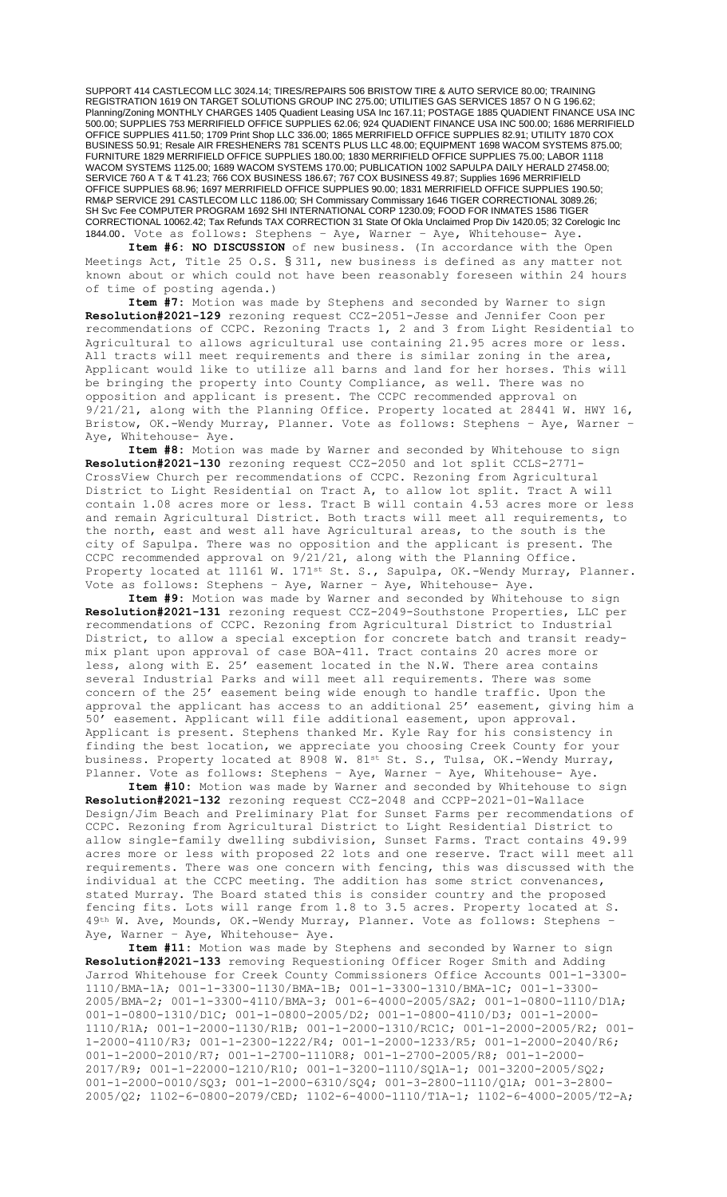SUPPORT 414 CASTLECOM LLC 3024.14; TIRES/REPAIRS 506 BRISTOW TIRE & AUTO SERVICE 80.00; TRAINING REGISTRATION 1619 ON TARGET SOLUTIONS GROUP INC 275.00; UTILITIES GAS SERVICES 1857 O N G 196.62; Planning/Zoning MONTHLY CHARGES 1405 Quadient Leasing USA Inc 167.11; POSTAGE 1885 QUADIENT FINANCE USA INC 500.00; SUPPLIES 753 MERRIFIELD OFFICE SUPPLIES 62.06; 924 QUADIENT FINANCE USA INC 500.00; 1686 MERRIFIELD OFFICE SUPPLIES 411.50; 1709 Print Shop LLC 336.00; 1865 MERRIFIELD OFFICE SUPPLIES 82.91; UTILITY 1870 COX BUSINESS 50.91; Resale AIR FRESHENERS 781 SCENTS PLUS LLC 48.00; EQUIPMENT 1698 WACOM SYSTEMS 875.00; FURNITURE 1829 MERRIFIELD OFFICE SUPPLIES 180.00; 1830 MERRIFIELD OFFICE SUPPLIES 75.00; LABOR 1118 WACOM SYSTEMS 1125.00; 1689 WACOM SYSTEMS 170.00; PUBLICATION 1002 SAPULPA DAILY HERALD 27458.00; SERVICE 760 A T & T 41.23; 766 COX BUSINESS 186.67; 767 COX BUSINESS 49.87; Supplies 1696 MERRIFIELD OFFICE SUPPLIES 68.96; 1697 MERRIFIELD OFFICE SUPPLIES 90.00; 1831 MERRIFIELD OFFICE SUPPLIES 190.50; RM&P SERVICE 291 CASTLECOM LLC 1186.00; SH Commissary Commissary 1646 TIGER CORRECTIONAL 3089.26; SH Svc Fee COMPUTER PROGRAM 1692 SHI INTERNATIONAL CORP 1230.09; FOOD FOR INMATES 1586 TIGER CORRECTIONAL 10062.42; Tax Refunds TAX CORRECTION 31 State Of Okla Unclaimed Prop Div 1420.05; 32 Corelogic Inc 1844.00. Vote as follows: Stephens – Aye, Warner – Aye, Whitehouse- Aye.

**Item #6: NO DISCUSSION** of new business. (In accordance with the Open Meetings Act, Title 25 O.S. § 311, new business is defined as any matter not known about or which could not have been reasonably foreseen within 24 hours of time of posting agenda.)

**Item #7:** Motion was made by Stephens and seconded by Warner to sign **Resolution#2021-129** rezoning request CCZ-2051-Jesse and Jennifer Coon per recommendations of CCPC. Rezoning Tracts 1, 2 and 3 from Light Residential to Agricultural to allows agricultural use containing 21.95 acres more or less. All tracts will meet requirements and there is similar zoning in the area, Applicant would like to utilize all barns and land for her horses. This will be bringing the property into County Compliance, as well. There was no opposition and applicant is present. The CCPC recommended approval on 9/21/21, along with the Planning Office. Property located at 28441 W. HWY 16, Bristow, OK.-Wendy Murray, Planner. Vote as follows: Stephens – Aye, Warner – Aye, Whitehouse- Aye.

**Item #8:** Motion was made by Warner and seconded by Whitehouse to sign **Resolution#2021-130** rezoning request CCZ-2050 and lot split CCLS-2771- CrossView Church per recommendations of CCPC. Rezoning from Agricultural District to Light Residential on Tract A, to allow lot split. Tract A will contain 1.08 acres more or less. Tract B will contain 4.53 acres more or less and remain Agricultural District. Both tracts will meet all requirements, to the north, east and west all have Agricultural areas, to the south is the city of Sapulpa. There was no opposition and the applicant is present. The CCPC recommended approval on 9/21/21, along with the Planning Office. Property located at 11161 W. 171<sup>st</sup> St. S., Sapulpa, OK.-Wendy Murray, Planner. Vote as follows: Stephens – Aye, Warner – Aye, Whitehouse- Aye.

**Item #9:** Motion was made by Warner and seconded by Whitehouse to sign **Resolution#2021-131** rezoning request CCZ-2049-Southstone Properties, LLC per recommendations of CCPC. Rezoning from Agricultural District to Industrial District, to allow a special exception for concrete batch and transit readymix plant upon approval of case BOA-411. Tract contains 20 acres more or less, along with E. 25' easement located in the N.W. There area contains several Industrial Parks and will meet all requirements. There was some concern of the 25' easement being wide enough to handle traffic. Upon the approval the applicant has access to an additional 25' easement, giving him a 50' easement. Applicant will file additional easement, upon approval. Applicant is present. Stephens thanked Mr. Kyle Ray for his consistency in finding the best location, we appreciate you choosing Creek County for your business. Property located at 8908 W. 81st St. S., Tulsa, OK.-Wendy Murray, Planner. Vote as follows: Stephens – Aye, Warner – Aye, Whitehouse- Aye.

**Item #10:** Motion was made by Warner and seconded by Whitehouse to sign **Resolution#2021-132** rezoning request CCZ-2048 and CCPP-2021-01-Wallace Design/Jim Beach and Preliminary Plat for Sunset Farms per recommendations of CCPC. Rezoning from Agricultural District to Light Residential District to allow single-family dwelling subdivision, Sunset Farms. Tract contains 49.99 acres more or less with proposed 22 lots and one reserve. Tract will meet all requirements. There was one concern with fencing, this was discussed with the individual at the CCPC meeting. The addition has some strict convenances, stated Murray. The Board stated this is consider country and the proposed fencing fits. Lots will range from 1.8 to 3.5 acres. Property located at S. 49th W. Ave, Mounds, OK.-Wendy Murray, Planner. Vote as follows: Stephens -Aye, Warner – Aye, Whitehouse- Aye.

**Item #11:** Motion was made by Stephens and seconded by Warner to sign **Resolution#2021-133** removing Requestioning Officer Roger Smith and Adding Jarrod Whitehouse for Creek County Commissioners Office Accounts 001-1-3300- 1110/BMA-1A; 001-1-3300-1130/BMA-1B; 001-1-3300-1310/BMA-1C; 001-1-3300- 2005/BMA-2; 001-1-3300-4110/BMA-3; 001-6-4000-2005/SA2; 001-1-0800-1110/D1A; 001-1-0800-1310/D1C; 001-1-0800-2005/D2; 001-1-0800-4110/D3; 001-1-2000- 1110/R1A; 001-1-2000-1130/R1B; 001-1-2000-1310/RC1C; 001-1-2000-2005/R2; 001- 1-2000-4110/R3; 001-1-2300-1222/R4; 001-1-2000-1233/R5; 001-1-2000-2040/R6; 001-1-2000-2010/R7; 001-1-2700-1110R8; 001-1-2700-2005/R8; 001-1-2000- 2017/R9; 001-1-22000-1210/R10; 001-1-3200-1110/SQ1A-1; 001-3200-2005/SQ2; 001-1-2000-0010/SQ3; 001-1-2000-6310/SQ4; 001-3-2800-1110/Q1A; 001-3-2800- 2005/Q2; 1102-6-0800-2079/CED; 1102-6-4000-1110/T1A-1; 1102-6-4000-2005/T2-A;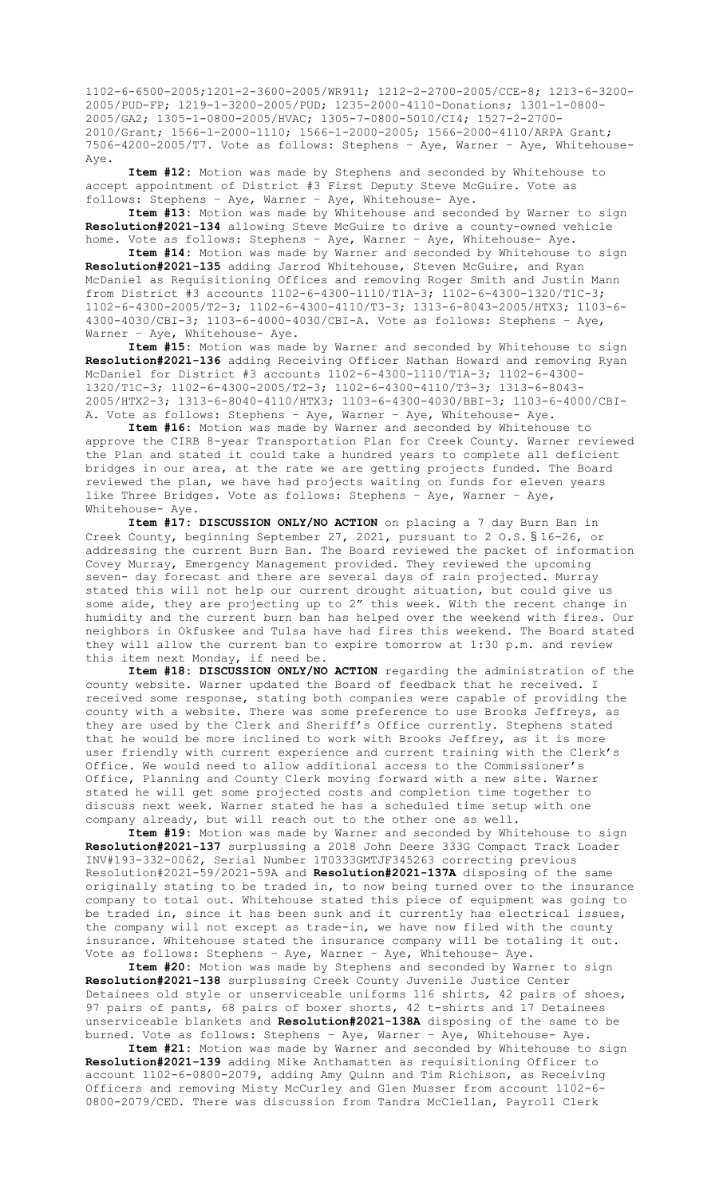1102-6-6500-2005;1201-2-3600-2005/WR911; 1212-2-2700-2005/CCE-8; 1213-6-3200- 2005/PUD-FP; 1219-1-3200-2005/PUD; 1235-2000-4110-Donations; 1301-1-0800- 2005/GA2; 1305-1-0800-2005/HVAC; 1305-7-0800-5010/CI4; 1527-2-2700- 2010/Grant; 1566-1-2000-1110; 1566-1-2000-2005; 1566-2000-4110/ARPA Grant; 7506-4200-2005/T7. Vote as follows: Stephens – Aye, Warner – Aye, Whitehouse-Aye.

**Item #12:** Motion was made by Stephens and seconded by Whitehouse to accept appointment of District #3 First Deputy Steve McGuire. Vote as follows: Stephens – Aye, Warner – Aye, Whitehouse- Aye.

**Item #13:** Motion was made by Whitehouse and seconded by Warner to sign **Resolution#2021-134** allowing Steve McGuire to drive a county-owned vehicle home. Vote as follows: Stephens – Aye, Warner – Aye, Whitehouse- Aye.

**Item #14:** Motion was made by Warner and seconded by Whitehouse to sign **Resolution#2021-135** adding Jarrod Whitehouse, Steven McGuire, and Ryan McDaniel as Requisitioning Offices and removing Roger Smith and Justin Mann from District #3 accounts 1102-6-4300-1110/T1A-3; 1102-6-4300-1320/T1C-3; 1102-6-4300-2005/T2-3; 1102-6-4300-4110/T3-3; 1313-6-8043-2005/HTX3; 1103-6- 4300-4030/CBI-3; 1103-6-4000-4030/CBI-A. Vote as follows: Stephens – Aye, Warner - Aye, Whitehouse- Aye.

**Item #15:** Motion was made by Warner and seconded by Whitehouse to sign **Resolution#2021-136** adding Receiving Officer Nathan Howard and removing Ryan McDaniel for District #3 accounts 1102-6-4300-1110/T1A-3; 1102-6-4300- 1320/T1C-3; 1102-6-4300-2005/T2-3; 1102-6-4300-4110/T3-3; 1313-6-8043- 2005/HTX2-3; 1313-6-8040-4110/HTX3; 1103-6-4300-4030/BBI-3; 1103-6-4000/CBI-A. Vote as follows: Stephens – Aye, Warner – Aye, Whitehouse- Aye.

**Item #16:** Motion was made by Warner and seconded by Whitehouse to approve the CIRB 8-year Transportation Plan for Creek County. Warner reviewed the Plan and stated it could take a hundred years to complete all deficient bridges in our area, at the rate we are getting projects funded. The Board reviewed the plan, we have had projects waiting on funds for eleven years like Three Bridges. Vote as follows: Stephens – Aye, Warner – Aye, Whitehouse- Aye.

**Item #17: DISCUSSION ONLY/NO ACTION** on placing a 7 day Burn Ban in Creek County, beginning September 27, 2021, pursuant to 2 O.S. § 16-26, or addressing the current Burn Ban. The Board reviewed the packet of information Covey Murray, Emergency Management provided. They reviewed the upcoming seven- day forecast and there are several days of rain projected. Murray stated this will not help our current drought situation, but could give us some aide, they are projecting up to 2" this week. With the recent change in humidity and the current burn ban has helped over the weekend with fires. Our neighbors in Okfuskee and Tulsa have had fires this weekend. The Board stated they will allow the current ban to expire tomorrow at 1:30 p.m. and review this item next Monday, if need be.

**Item #18: DISCUSSION ONLY/NO ACTION** regarding the administration of the county website. Warner updated the Board of feedback that he received. I received some response, stating both companies were capable of providing the county with a website. There was some preference to use Brooks Jeffreys, as they are used by the Clerk and Sheriff's Office currently. Stephens stated that he would be more inclined to work with Brooks Jeffrey, as it is more user friendly with current experience and current training with the Clerk's Office. We would need to allow additional access to the Commissioner's Office, Planning and County Clerk moving forward with a new site. Warner stated he will get some projected costs and completion time together to discuss next week. Warner stated he has a scheduled time setup with one company already, but will reach out to the other one as well.

**Item #19:** Motion was made by Warner and seconded by Whitehouse to sign **Resolution#2021-137** surplussing a 2018 John Deere 333G Compact Track Loader INV#193-332-0062, Serial Number 1T0333GMTJF345263 correcting previous Resolution#2021-59/2021-59A and **Resolution#2021-137A** disposing of the same originally stating to be traded in, to now being turned over to the insurance company to total out. Whitehouse stated this piece of equipment was going to be traded in, since it has been sunk and it currently has electrical issues, the company will not except as trade-in, we have now filed with the county insurance. Whitehouse stated the insurance company will be totaling it out. Vote as follows: Stephens – Aye, Warner – Aye, Whitehouse- Aye.

**Item #20:** Motion was made by Stephens and seconded by Warner to sign **Resolution#2021-138** surplussing Creek County Juvenile Justice Center Detainees old style or unserviceable uniforms 116 shirts, 42 pairs of shoes, 97 pairs of pants, 68 pairs of boxer shorts, 42 t-shirts and 17 Detainees unserviceable blankets and **Resolution#2021-138A** disposing of the same to be burned. Vote as follows: Stephens – Aye, Warner – Aye, Whitehouse- Aye.

**Item #21:** Motion was made by Warner and seconded by Whitehouse to sign **Resolution#2021-139** adding Mike Anthamatten as requisitioning Officer to account 1102-6-0800-2079, adding Amy Quinn and Tim Richison, as Receiving Officers and removing Misty McCurley and Glen Musser from account 1102-6- 0800-2079/CED. There was discussion from Tandra McClellan, Payroll Clerk